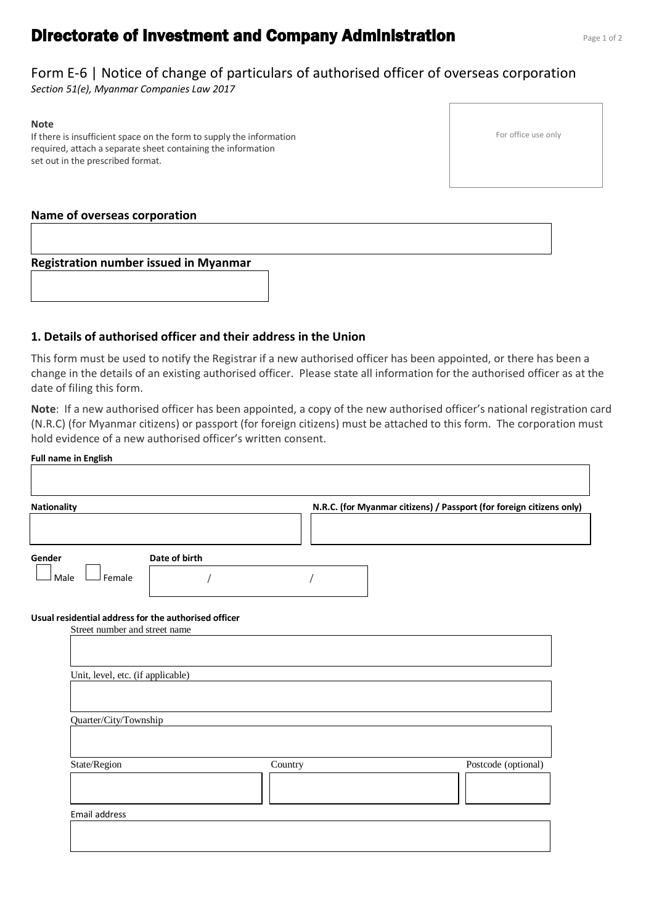# **Directorate of Investment and Company Administration Properties Administration**

## Form E-6 | Notice of change of particulars of authorised officer of overseas corporation

*Section 51(e), Myanmar Companies Law 2017*

#### **Note**

If there is insufficient space on the form to supply the information required, attach a separate sheet containing the information set out in the prescribed format.

#### **Name of overseas corporation**

**Registration number issued in Myanmar**

#### **1. Details of authorised officer and their address in the Union**

This form must be used to notify the Registrar if a new authorised officer has been appointed, or there has been a change in the details of an existing authorised officer. Please state all information for the authorised officer as at the date of filing this form.

**Note**: If a new authorised officer has been appointed, a copy of the new authorised officer's national registration card (N.R.C) (for Myanmar citizens) or passport (for foreign citizens) must be attached to this form. The corporation must hold evidence of a new authorised officer's written consent.

|        | Nationality                                                                                                                |               |         | N.R.C. (for Myanmar citizens) / Passport (for foreign citizens only) |                     |
|--------|----------------------------------------------------------------------------------------------------------------------------|---------------|---------|----------------------------------------------------------------------|---------------------|
| Gender |                                                                                                                            | Date of birth |         |                                                                      |                     |
| Male   | Female                                                                                                                     |               |         |                                                                      |                     |
|        | Usual residential address for the authorised officer<br>Street number and street name<br>Unit, level, etc. (if applicable) |               |         |                                                                      |                     |
|        | Quarter/City/Township                                                                                                      |               |         |                                                                      |                     |
|        | State/Region                                                                                                               |               | Country |                                                                      | Postcode (optional) |

For office use only